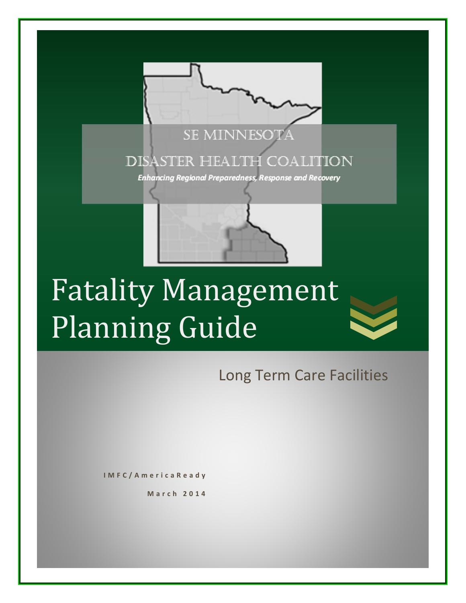

# Fatality Management Planning Guide

Long Term Care Facilities

**IMFC/AmericaReady**

**March 2014**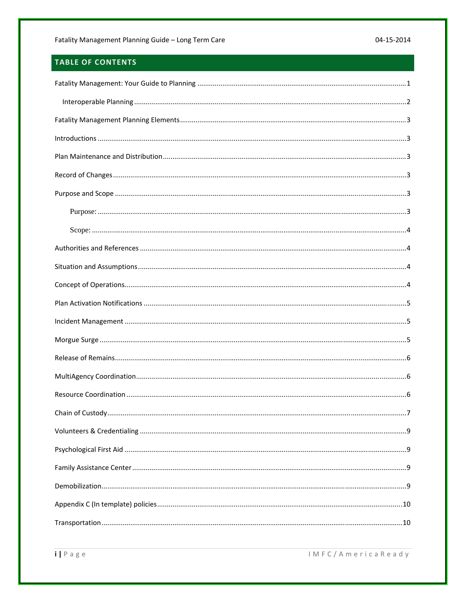# TABLE OF CONTENTS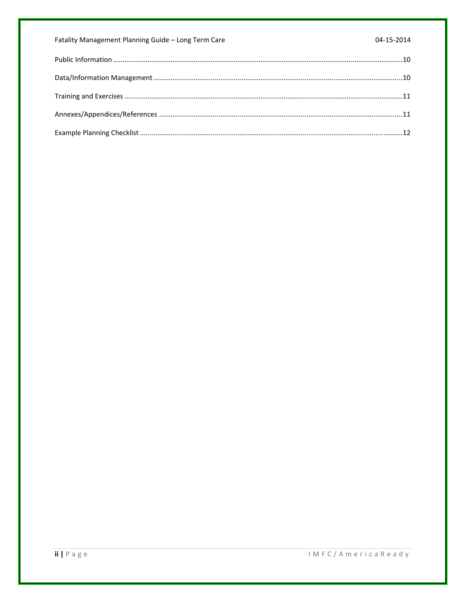| Fatality Management Planning Guide - Long Term Care | 04-15-2014 |
|-----------------------------------------------------|------------|
|                                                     |            |
|                                                     |            |
|                                                     |            |
|                                                     |            |
|                                                     |            |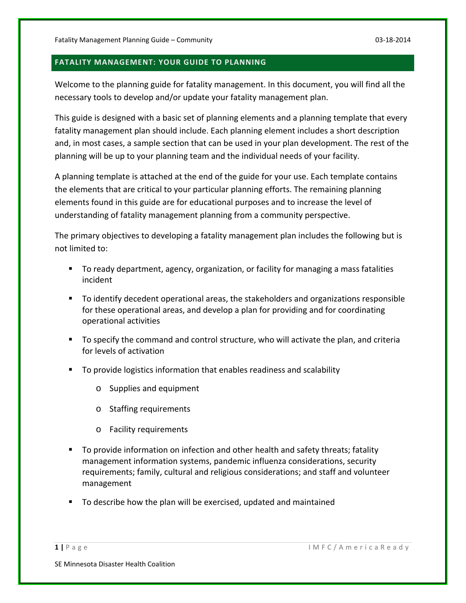# **FATALITY MANAGEMENT: YOUR GUIDE TO PLANNING**

Welcome to the planning guide for fatality management. In this document, you will find all the necessary tools to develop and/or update your fatality management plan.

This guide is designed with a basic set of planning elements and a planning template that every fatality management plan should include. Each planning element includes a short description and, in most cases, a sample section that can be used in your plan development. The rest of the planning will be up to your planning team and the individual needs of your facility.

A planning template is attached at the end of the guide for your use. Each template contains the elements that are critical to your particular planning efforts. The remaining planning elements found in this guide are for educational purposes and to increase the level of understanding of fatality management planning from a community perspective.

The primary objectives to developing a fatality management plan includes the following but is not limited to:

- To ready department, agency, organization, or facility for managing a mass fatalities incident
- To identify decedent operational areas, the stakeholders and organizations responsible for these operational areas, and develop a plan for providing and for coordinating operational activities
- To specify the command and control structure, who will activate the plan, and criteria for levels of activation
- To provide logistics information that enables readiness and scalability
	- o Supplies and equipment
	- o Staffing requirements
	- o Facility requirements
- To provide information on infection and other health and safety threats; fatality management information systems, pandemic influenza considerations, security requirements; family, cultural and religious considerations; and staff and volunteer management
- To describe how the plan will be exercised, updated and maintained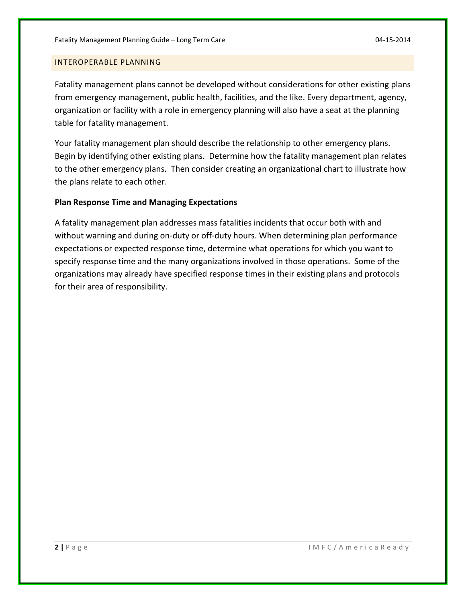#### INTEROPERABLE PLANNING

Fatality management plans cannot be developed without considerations for other existing plans from emergency management, public health, facilities, and the like. Every department, agency, organization or facility with a role in emergency planning will also have a seat at the planning table for fatality management.

Your fatality management plan should describe the relationship to other emergency plans. Begin by identifying other existing plans. Determine how the fatality management plan relates to the other emergency plans. Then consider creating an organizational chart to illustrate how the plans relate to each other.

#### **Plan Response Time and Managing Expectations**

A fatality management plan addresses mass fatalities incidents that occur both with and without warning and during on-duty or off-duty hours. When determining plan performance expectations or expected response time, determine what operations for which you want to specify response time and the many organizations involved in those operations. Some of the organizations may already have specified response times in their existing plans and protocols for their area of responsibility.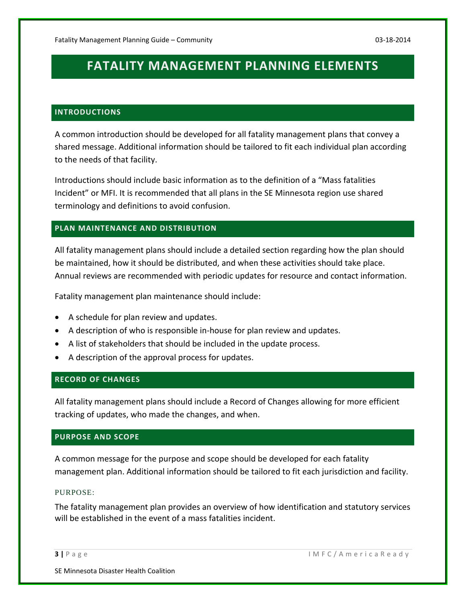# **FATALITY MANAGEMENT PLANNING ELEMENTS**

#### **INTRODUCTIONS**

A common introduction should be developed for all fatality management plans that convey a shared message. Additional information should be tailored to fit each individual plan according to the needs of that facility.

Introductions should include basic information as to the definition of a "Mass fatalities Incident" or MFI. It is recommended that all plans in the SE Minnesota region use shared terminology and definitions to avoid confusion.

#### **PLAN MAINTENANCE AND DISTRIBUTION**

All fatality management plans should include a detailed section regarding how the plan should be maintained, how it should be distributed, and when these activities should take place. Annual reviews are recommended with periodic updates for resource and contact information.

Fatality management plan maintenance should include:

- A schedule for plan review and updates.
- A description of who is responsible in-house for plan review and updates.
- A list of stakeholders that should be included in the update process.
- A description of the approval process for updates.

#### **RECORD OF CHANGES**

All fatality management plans should include a Record of Changes allowing for more efficient tracking of updates, who made the changes, and when.

#### **PURPOSE AND SCOPE**

A common message for the purpose and scope should be developed for each fatality management plan. Additional information should be tailored to fit each jurisdiction and facility.

#### PURPOSE:

The fatality management plan provides an overview of how identification and statutory services will be established in the event of a mass fatalities incident.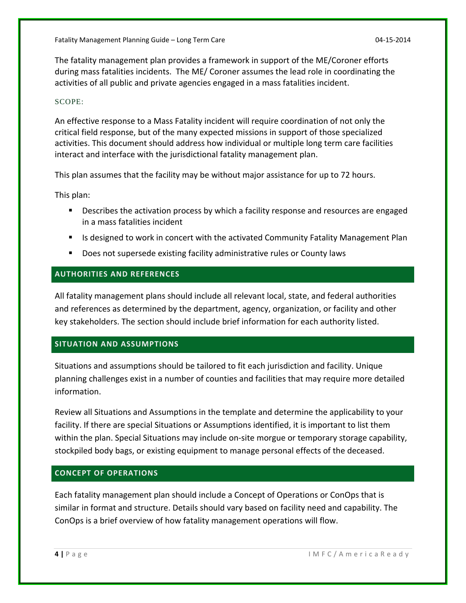Fatality Management Planning Guide – Long Term Care 04‐15‐2014

The fatality management plan provides a framework in support of the ME/Coroner efforts during mass fatalities incidents. The ME/ Coroner assumes the lead role in coordinating the activities of all public and private agencies engaged in a mass fatalities incident.

#### SCOPE:

An effective response to a Mass Fatality incident will require coordination of not only the critical field response, but of the many expected missions in support of those specialized activities. This document should address how individual or multiple long term care facilities interact and interface with the jurisdictional fatality management plan.

This plan assumes that the facility may be without major assistance for up to 72 hours.

This plan:

- Describes the activation process by which a facility response and resources are engaged in a mass fatalities incident
- **If all is designed to work in concert with the activated Community Fatality Management Plan**
- **Does not supersede existing facility administrative rules or County laws**

# **AUTHORITIES AND REFERENCES**

All fatality management plans should include all relevant local, state, and federal authorities and references as determined by the department, agency, organization, or facility and other key stakeholders. The section should include brief information for each authority listed.

#### **SITUATION AND ASSUMPTIONS**

Situations and assumptions should be tailored to fit each jurisdiction and facility. Unique planning challenges exist in a number of counties and facilities that may require more detailed information.

Review all Situations and Assumptions in the template and determine the applicability to your facility. If there are special Situations or Assumptions identified, it is important to list them within the plan. Special Situations may include on-site morgue or temporary storage capability, stockpiled body bags, or existing equipment to manage personal effects of the deceased.

# **CONCEPT OF OPERATIONS**

Each fatality management plan should include a Concept of Operations or ConOps that is similar in format and structure. Details should vary based on facility need and capability. The ConOps is a brief overview of how fatality management operations will flow.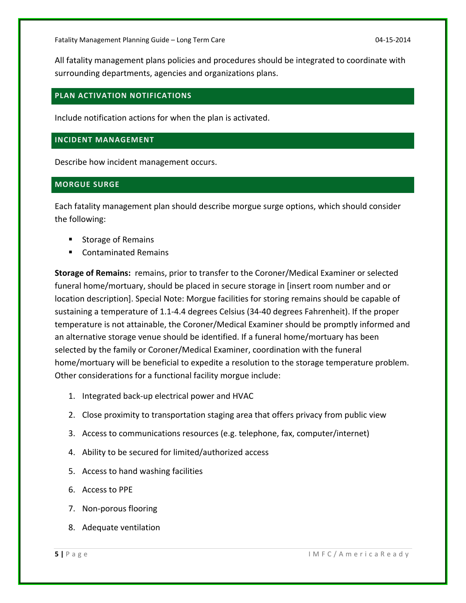All fatality management plans policies and procedures should be integrated to coordinate with surrounding departments, agencies and organizations plans.

#### **PLAN ACTIVATION NOTIFICATIONS**

Include notification actions for when the plan is activated.

#### **INCIDENT MANAGEMENT**

Describe how incident management occurs.

# **MORGUE SURGE**

Each fatality management plan should describe morgue surge options, which should consider the following:

- Storage of Remains
- Contaminated Remains

**Storage of Remains:** remains, prior to transfer to the Coroner/Medical Examiner or selected funeral home/mortuary, should be placed in secure storage in [insert room number and or location description]. Special Note: Morgue facilities for storing remains should be capable of sustaining a temperature of 1.1‐4.4 degrees Celsius (34‐40 degrees Fahrenheit). If the proper temperature is not attainable, the Coroner/Medical Examiner should be promptly informed and an alternative storage venue should be identified. If a funeral home/mortuary has been selected by the family or Coroner/Medical Examiner, coordination with the funeral home/mortuary will be beneficial to expedite a resolution to the storage temperature problem. Other considerations for a functional facility morgue include:

- 1. Integrated back‐up electrical power and HVAC
- 2. Close proximity to transportation staging area that offers privacy from public view
- 3. Access to communications resources (e.g. telephone, fax, computer/internet)
- 4. Ability to be secured for limited/authorized access
- 5. Access to hand washing facilities
- 6. Access to PPE
- 7. Non‐porous flooring
- 8. Adequate ventilation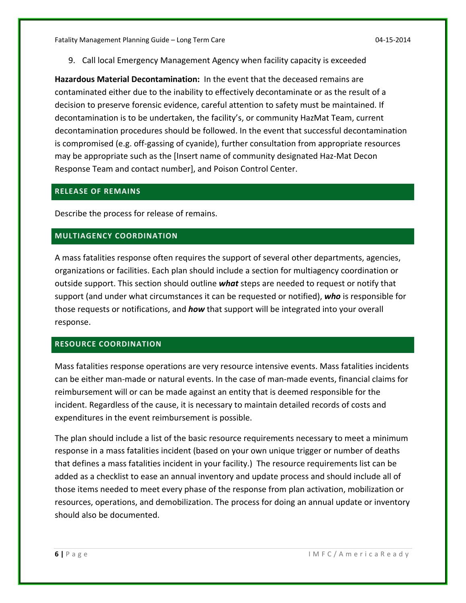9. Call local Emergency Management Agency when facility capacity is exceeded

**Hazardous Material Decontamination:** In the event that the deceased remains are contaminated either due to the inability to effectively decontaminate or as the result of a decision to preserve forensic evidence, careful attention to safety must be maintained. If decontamination is to be undertaken, the facility's, or community HazMat Team, current decontamination procedures should be followed. In the event that successful decontamination is compromised (e.g. off‐gassing of cyanide), further consultation from appropriate resources may be appropriate such as the [Insert name of community designated Haz‐Mat Decon Response Team and contact number], and Poison Control Center.

#### **RELEASE OF REMAINS**

Describe the process for release of remains.

# **MULTIAGENCY COORDINATION**

A mass fatalities response often requires the support of several other departments, agencies, organizations or facilities. Each plan should include a section for multiagency coordination or outside support. This section should outline *what* steps are needed to request or notify that support (and under what circumstances it can be requested or notified), *who* is responsible for those requests or notifications, and *how* that support will be integrated into your overall response.

#### **RESOURCE COORDINATION**

Mass fatalities response operations are very resource intensive events. Mass fatalities incidents can be either man‐made or natural events. In the case of man‐made events, financial claims for reimbursement will or can be made against an entity that is deemed responsible for the incident. Regardless of the cause, it is necessary to maintain detailed records of costs and expenditures in the event reimbursement is possible.

The plan should include a list of the basic resource requirements necessary to meet a minimum response in a mass fatalities incident (based on your own unique trigger or number of deaths that defines a mass fatalities incident in your facility.) The resource requirements list can be added as a checklist to ease an annual inventory and update process and should include all of those items needed to meet every phase of the response from plan activation, mobilization or resources, operations, and demobilization. The process for doing an annual update or inventory should also be documented.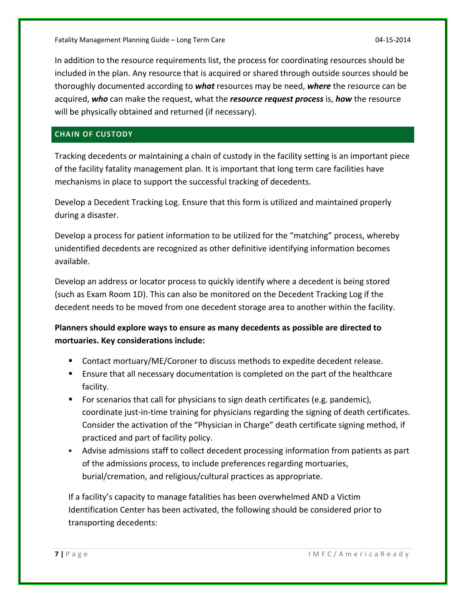In addition to the resource requirements list, the process for coordinating resources should be included in the plan. Any resource that is acquired or shared through outside sources should be thoroughly documented according to *what* resources may be need, *where* the resource can be acquired, *who* can make the request, what the *resource request process* is, *how* the resource will be physically obtained and returned (if necessary).

# **CHAIN OF CUSTODY**

Tracking decedents or maintaining a chain of custody in the facility setting is an important piece of the facility fatality management plan. It is important that long term care facilities have mechanisms in place to support the successful tracking of decedents.

Develop a Decedent Tracking Log. Ensure that this form is utilized and maintained properly during a disaster.

Develop a process for patient information to be utilized for the "matching" process, whereby unidentified decedents are recognized as other definitive identifying information becomes available.

Develop an address or locator process to quickly identify where a decedent is being stored (such as Exam Room 1D). This can also be monitored on the Decedent Tracking Log if the decedent needs to be moved from one decedent storage area to another within the facility.

**Planners should explore ways to ensure as many decedents as possible are directed to mortuaries. Key considerations include:**

- Contact mortuary/ME/Coroner to discuss methods to expedite decedent release.
- Ensure that all necessary documentation is completed on the part of the healthcare facility.
- For scenarios that call for physicians to sign death certificates (e.g. pandemic), coordinate just‐in‐time training for physicians regarding the signing of death certificates. Consider the activation of the "Physician in Charge" death certificate signing method, if practiced and part of facility policy.
- Advise admissions staff to collect decedent processing information from patients as part of the admissions process, to include preferences regarding mortuaries, burial/cremation, and religious/cultural practices as appropriate.

If a facility's capacity to manage fatalities has been overwhelmed AND a Victim Identification Center has been activated, the following should be considered prior to transporting decedents: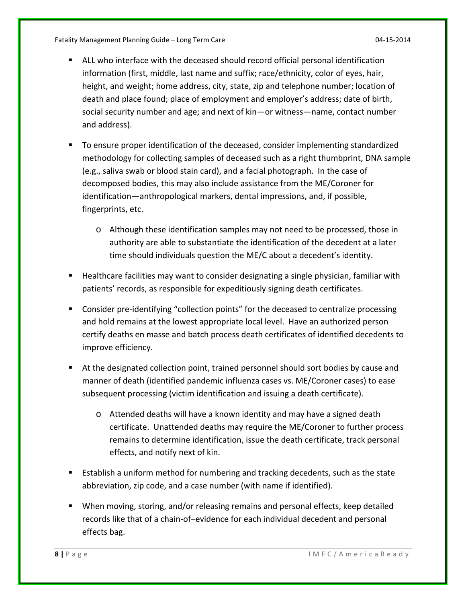Fatality Management Planning Guide – Long Term Care 04‐15‐2014

- ALL who interface with the deceased should record official personal identification information (first, middle, last name and suffix; race/ethnicity, color of eyes, hair, height, and weight; home address, city, state, zip and telephone number; location of death and place found; place of employment and employer's address; date of birth, social security number and age; and next of kin—or witness—name, contact number and address).
- To ensure proper identification of the deceased, consider implementing standardized methodology for collecting samples of deceased such as a right thumbprint, DNA sample (e.g., saliva swab or blood stain card), and a facial photograph. In the case of decomposed bodies, this may also include assistance from the ME/Coroner for identification—anthropological markers, dental impressions, and, if possible, fingerprints, etc.
	- o Although these identification samples may not need to be processed, those in authority are able to substantiate the identification of the decedent at a later time should individuals question the ME/C about a decedent's identity.
- **Healthcare facilities may want to consider designating a single physician, familiar with** patients' records, as responsible for expeditiously signing death certificates.
- Consider pre-identifying "collection points" for the deceased to centralize processing and hold remains at the lowest appropriate local level. Have an authorized person certify deaths en masse and batch process death certificates of identified decedents to improve efficiency.
- At the designated collection point, trained personnel should sort bodies by cause and manner of death (identified pandemic influenza cases vs. ME/Coroner cases) to ease subsequent processing (victim identification and issuing a death certificate).
	- o Attended deaths will have a known identity and may have a signed death certificate. Unattended deaths may require the ME/Coroner to further process remains to determine identification, issue the death certificate, track personal effects, and notify next of kin.
- **Establish a uniform method for numbering and tracking decedents, such as the state** abbreviation, zip code, and a case number (with name if identified).
- When moving, storing, and/or releasing remains and personal effects, keep detailed records like that of a chain‐of–evidence for each individual decedent and personal effects bag.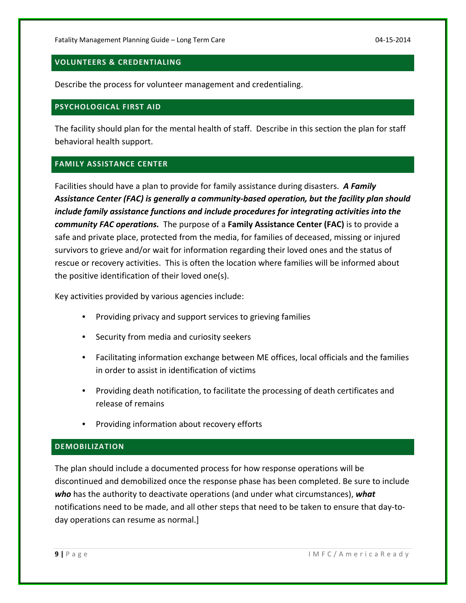### **VOLUNTEERS & CREDENTIALING**

Describe the process for volunteer management and credentialing.

#### **PSYCHOLOGICAL FIRST AID**

The facility should plan for the mental health of staff. Describe in this section the plan for staff behavioral health support.

#### **FAMILY ASSISTANCE CENTER**

Facilities should have a plan to provide for family assistance during disasters. *A Family Assistance Center (FAC) is generally a community‐based operation, but the facility plan should include family assistance functions and include procedures for integrating activities into the community FAC operations.* The purpose of a **Family Assistance Center (FAC)** is to provide a safe and private place, protected from the media, for families of deceased, missing or injured survivors to grieve and/or wait for information regarding their loved ones and the status of rescue or recovery activities. This is often the location where families will be informed about the positive identification of their loved one(s).

Key activities provided by various agencies include:

- Providing privacy and support services to grieving families
- Security from media and curiosity seekers
- Facilitating information exchange between ME offices, local officials and the families in order to assist in identification of victims
- Providing death notification, to facilitate the processing of death certificates and release of remains
- Providing information about recovery efforts

#### **DEMOBILIZATION**

The plan should include a documented process for how response operations will be discontinued and demobilized once the response phase has been completed. Be sure to include *who* has the authority to deactivate operations (and under what circumstances), *what* notifications need to be made, and all other steps that need to be taken to ensure that day‐to‐ day operations can resume as normal.]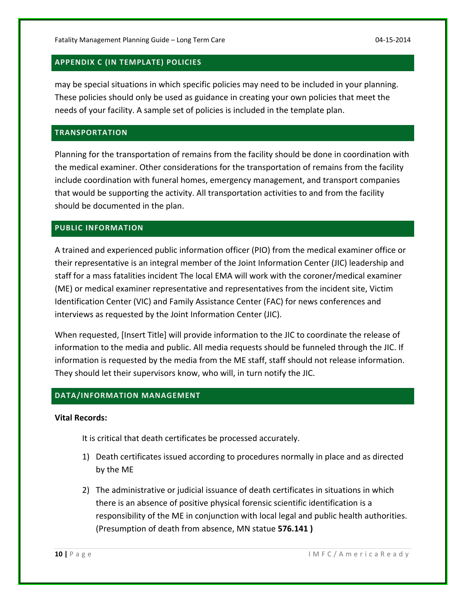# **APPENDIX C (IN TEMPLATE) POLICIES**

may be special situations in which specific policies may need to be included in your planning. These policies should only be used as guidance in creating your own policies that meet the needs of your facility. A sample set of policies is included in the template plan.

# **TRANSPORTATION**

Planning for the transportation of remains from the facility should be done in coordination with the medical examiner. Other considerations for the transportation of remains from the facility include coordination with funeral homes, emergency management, and transport companies that would be supporting the activity. All transportation activities to and from the facility should be documented in the plan.

# **PUBLIC INFORMATION**

A trained and experienced public information officer (PIO) from the medical examiner office or their representative is an integral member of the Joint Information Center (JIC) leadership and staff for a mass fatalities incident The local EMA will work with the coroner/medical examiner (ME) or medical examiner representative and representatives from the incident site, Victim Identification Center (VIC) and Family Assistance Center (FAC) for news conferences and interviews as requested by the Joint Information Center (JIC).

When requested, [Insert Title] will provide information to the JIC to coordinate the release of information to the media and public. All media requests should be funneled through the JIC. If information is requested by the media from the ME staff, staff should not release information. They should let their supervisors know, who will, in turn notify the JIC.

# **DATA/INFORMATION MANAGEMENT**

# **Vital Records:**

It is critical that death certificates be processed accurately.

- 1) Death certificates issued according to procedures normally in place and as directed by the ME
- 2) The administrative or judicial issuance of death certificates in situations in which there is an absence of positive physical forensic scientific identification is a responsibility of the ME in conjunction with local legal and public health authorities. (Presumption of death from absence, MN statue **576.141 )**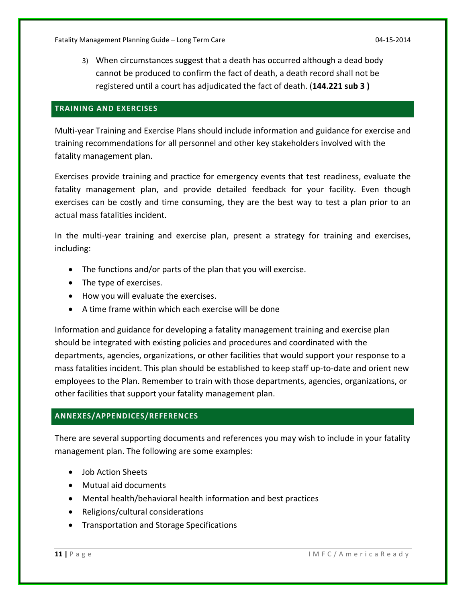3) When circumstances suggest that a death has occurred although a dead body cannot be produced to confirm the fact of death, a death record shall not be registered until a court has adjudicated the fact of death. (**144.221 sub 3 )**

# **TRAINING AND EXERCISES**

Multi‐year Training and Exercise Plans should include information and guidance for exercise and training recommendations for all personnel and other key stakeholders involved with the fatality management plan.

Exercises provide training and practice for emergency events that test readiness, evaluate the fatality management plan, and provide detailed feedback for your facility. Even though exercises can be costly and time consuming, they are the best way to test a plan prior to an actual mass fatalities incident.

In the multi-year training and exercise plan, present a strategy for training and exercises, including:

- The functions and/or parts of the plan that you will exercise.
- The type of exercises.
- How you will evaluate the exercises.
- A time frame within which each exercise will be done

Information and guidance for developing a fatality management training and exercise plan should be integrated with existing policies and procedures and coordinated with the departments, agencies, organizations, or other facilities that would support your response to a mass fatalities incident. This plan should be established to keep staff up-to-date and orient new employees to the Plan. Remember to train with those departments, agencies, organizations, or other facilities that support your fatality management plan.

# **ANNEXES/APPENDICES/REFERENCES**

There are several supporting documents and references you may wish to include in your fatality management plan. The following are some examples:

- Job Action Sheets
- Mutual aid documents
- Mental health/behavioral health information and best practices
- Religions/cultural considerations
- Transportation and Storage Specifications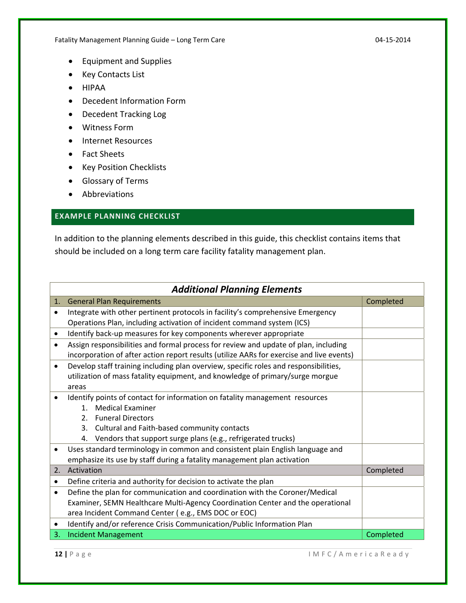Fatality Management Planning Guide – Long Term Care 04-15-2014 04-15-2014

- Equipment and Supplies
- Key Contacts List
- HIPAA
- Decedent Information Form
- Decedent Tracking Log
- Witness Form
- Internet Resources
- Fact Sheets
- Key Position Checklists
- Glossary of Terms
- Abbreviations

# **EXAMPLE PLANNING CHECKLIST**

In addition to the planning elements described in this guide, this checklist contains items that should be included on a long term care facility fatality management plan.

|           | <b>Additional Planning Elements</b>                                                      |           |  |
|-----------|------------------------------------------------------------------------------------------|-----------|--|
| 1.        | <b>General Plan Requirements</b>                                                         | Completed |  |
| $\bullet$ | Integrate with other pertinent protocols in facility's comprehensive Emergency           |           |  |
|           | Operations Plan, including activation of incident command system (ICS)                   |           |  |
| $\bullet$ | Identify back-up measures for key components wherever appropriate                        |           |  |
| $\bullet$ | Assign responsibilities and formal process for review and update of plan, including      |           |  |
|           | incorporation of after action report results (utilize AARs for exercise and live events) |           |  |
| $\bullet$ | Develop staff training including plan overview, specific roles and responsibilities,     |           |  |
|           | utilization of mass fatality equipment, and knowledge of primary/surge morgue            |           |  |
|           | areas                                                                                    |           |  |
|           | Identify points of contact for information on fatality management resources              |           |  |
|           | <b>Medical Examiner</b><br>1 <sup>1</sup>                                                |           |  |
|           | <b>Funeral Directors</b><br>$2_{1}$                                                      |           |  |
|           | Cultural and Faith-based community contacts<br>3.                                        |           |  |
|           | 4. Vendors that support surge plans (e.g., refrigerated trucks)                          |           |  |
| ٠         | Uses standard terminology in common and consistent plain English language and            |           |  |
|           | emphasize its use by staff during a fatality management plan activation                  |           |  |
| 2.        | Activation                                                                               | Completed |  |
| ٠         | Define criteria and authority for decision to activate the plan                          |           |  |
| ٠         | Define the plan for communication and coordination with the Coroner/Medical              |           |  |
|           | Examiner, SEMN Healthcare Multi-Agency Coordination Center and the operational           |           |  |
|           | area Incident Command Center (e.g., EMS DOC or EOC)                                      |           |  |
| ٠         | Identify and/or reference Crisis Communication/Public Information Plan                   |           |  |
| 3.        | <b>Incident Management</b>                                                               | Completed |  |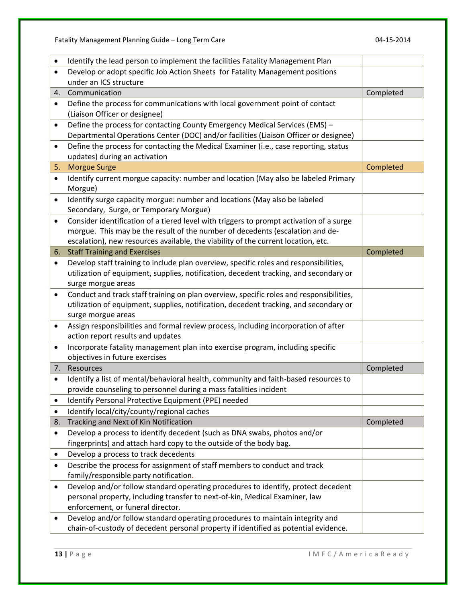Fatality Management Planning Guide – Long Term Care 04‐15‐2014

| $\bullet$ | Identify the lead person to implement the facilities Fatality Management Plan                                                                                                    |           |
|-----------|----------------------------------------------------------------------------------------------------------------------------------------------------------------------------------|-----------|
| $\bullet$ | Develop or adopt specific Job Action Sheets for Fatality Management positions                                                                                                    |           |
|           | under an ICS structure                                                                                                                                                           |           |
| 4.        | Communication                                                                                                                                                                    | Completed |
| $\bullet$ | Define the process for communications with local government point of contact                                                                                                     |           |
|           | (Liaison Officer or designee)                                                                                                                                                    |           |
| $\bullet$ | Define the process for contacting County Emergency Medical Services (EMS) -                                                                                                      |           |
|           | Departmental Operations Center (DOC) and/or facilities (Liaison Officer or designee)                                                                                             |           |
| $\bullet$ | Define the process for contacting the Medical Examiner (i.e., case reporting, status                                                                                             |           |
|           | updates) during an activation                                                                                                                                                    |           |
| 5.        | <b>Morgue Surge</b>                                                                                                                                                              | Completed |
| $\bullet$ | Identify current morgue capacity: number and location (May also be labeled Primary                                                                                               |           |
|           | Morgue)                                                                                                                                                                          |           |
| $\bullet$ | Identify surge capacity morgue: number and locations (May also be labeled                                                                                                        |           |
|           | Secondary, Surge, or Temporary Morgue)                                                                                                                                           |           |
| $\bullet$ | Consider identification of a tiered level with triggers to prompt activation of a surge                                                                                          |           |
|           | morgue. This may be the result of the number of decedents (escalation and de-                                                                                                    |           |
|           | escalation), new resources available, the viability of the current location, etc.                                                                                                |           |
| 6.        | <b>Staff Training and Exercises</b>                                                                                                                                              | Completed |
| $\bullet$ | Develop staff training to include plan overview, specific roles and responsibilities,                                                                                            |           |
|           | utilization of equipment, supplies, notification, decedent tracking, and secondary or                                                                                            |           |
|           | surge morgue areas                                                                                                                                                               |           |
| $\bullet$ | Conduct and track staff training on plan overview, specific roles and responsibilities,<br>utilization of equipment, supplies, notification, decedent tracking, and secondary or |           |
|           | surge morgue areas                                                                                                                                                               |           |
| $\bullet$ | Assign responsibilities and formal review process, including incorporation of after                                                                                              |           |
|           | action report results and updates                                                                                                                                                |           |
| $\bullet$ | Incorporate fatality management plan into exercise program, including specific                                                                                                   |           |
|           | objectives in future exercises                                                                                                                                                   |           |
| 7.        | Resources                                                                                                                                                                        | Completed |
| ٠         | Identify a list of mental/behavioral health, community and faith-based resources to                                                                                              |           |
|           | provide counseling to personnel during a mass fatalities incident                                                                                                                |           |
| ٠         | Identify Personal Protective Equipment (PPE) needed                                                                                                                              |           |
| ٠         | Identify local/city/county/regional caches                                                                                                                                       |           |
| 8.        | Tracking and Next of Kin Notification                                                                                                                                            | Completed |
| $\bullet$ | Develop a process to identify decedent (such as DNA swabs, photos and/or                                                                                                         |           |
|           | fingerprints) and attach hard copy to the outside of the body bag.                                                                                                               |           |
| ٠         | Develop a process to track decedents                                                                                                                                             |           |
| ٠         | Describe the process for assignment of staff members to conduct and track                                                                                                        |           |
|           | family/responsible party notification.                                                                                                                                           |           |
| ٠         | Develop and/or follow standard operating procedures to identify, protect decedent                                                                                                |           |
|           | personal property, including transfer to next-of-kin, Medical Examiner, law                                                                                                      |           |
|           | enforcement, or funeral director.                                                                                                                                                |           |
| ٠         | Develop and/or follow standard operating procedures to maintain integrity and                                                                                                    |           |
|           | chain-of-custody of decedent personal property if identified as potential evidence.                                                                                              |           |